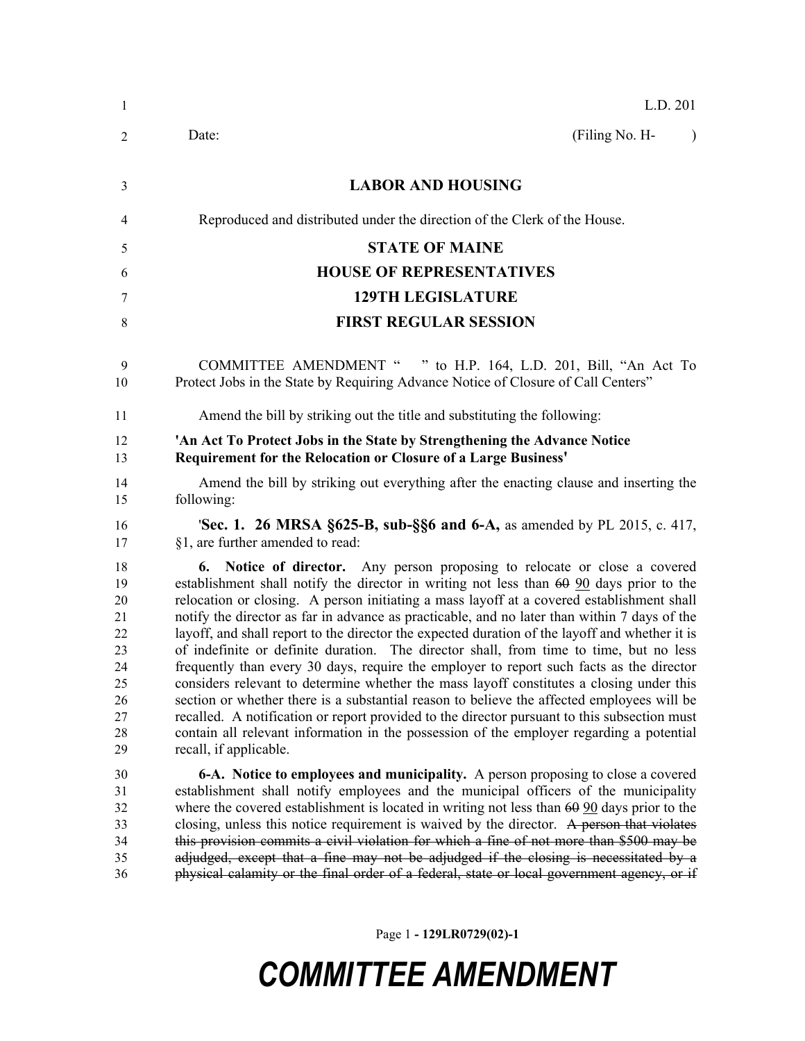| -1                                                                   | L.D. 201                                                                                                                                                                                                                                                                                                                                                                                                                                                                                                                                                                                                                                                                                                                                                                                                                                                                                                                                                                                                                                                                           |
|----------------------------------------------------------------------|------------------------------------------------------------------------------------------------------------------------------------------------------------------------------------------------------------------------------------------------------------------------------------------------------------------------------------------------------------------------------------------------------------------------------------------------------------------------------------------------------------------------------------------------------------------------------------------------------------------------------------------------------------------------------------------------------------------------------------------------------------------------------------------------------------------------------------------------------------------------------------------------------------------------------------------------------------------------------------------------------------------------------------------------------------------------------------|
| 2                                                                    | (Filing No. H-<br>Date:<br>$\lambda$                                                                                                                                                                                                                                                                                                                                                                                                                                                                                                                                                                                                                                                                                                                                                                                                                                                                                                                                                                                                                                               |
| 3                                                                    | <b>LABOR AND HOUSING</b>                                                                                                                                                                                                                                                                                                                                                                                                                                                                                                                                                                                                                                                                                                                                                                                                                                                                                                                                                                                                                                                           |
| 4                                                                    | Reproduced and distributed under the direction of the Clerk of the House.                                                                                                                                                                                                                                                                                                                                                                                                                                                                                                                                                                                                                                                                                                                                                                                                                                                                                                                                                                                                          |
| 5                                                                    | <b>STATE OF MAINE</b>                                                                                                                                                                                                                                                                                                                                                                                                                                                                                                                                                                                                                                                                                                                                                                                                                                                                                                                                                                                                                                                              |
| 6                                                                    | <b>HOUSE OF REPRESENTATIVES</b>                                                                                                                                                                                                                                                                                                                                                                                                                                                                                                                                                                                                                                                                                                                                                                                                                                                                                                                                                                                                                                                    |
| 7                                                                    | <b>129TH LEGISLATURE</b>                                                                                                                                                                                                                                                                                                                                                                                                                                                                                                                                                                                                                                                                                                                                                                                                                                                                                                                                                                                                                                                           |
| 8                                                                    | <b>FIRST REGULAR SESSION</b>                                                                                                                                                                                                                                                                                                                                                                                                                                                                                                                                                                                                                                                                                                                                                                                                                                                                                                                                                                                                                                                       |
| 9<br>10                                                              | COMMITTEE AMENDMENT " " to H.P. 164, L.D. 201, Bill, "An Act To<br>Protect Jobs in the State by Requiring Advance Notice of Closure of Call Centers"                                                                                                                                                                                                                                                                                                                                                                                                                                                                                                                                                                                                                                                                                                                                                                                                                                                                                                                               |
| 11                                                                   | Amend the bill by striking out the title and substituting the following:                                                                                                                                                                                                                                                                                                                                                                                                                                                                                                                                                                                                                                                                                                                                                                                                                                                                                                                                                                                                           |
| 12<br>13                                                             | 'An Act To Protect Jobs in the State by Strengthening the Advance Notice<br><b>Requirement for the Relocation or Closure of a Large Business'</b>                                                                                                                                                                                                                                                                                                                                                                                                                                                                                                                                                                                                                                                                                                                                                                                                                                                                                                                                  |
| 14<br>15                                                             | Amend the bill by striking out everything after the enacting clause and inserting the<br>following:                                                                                                                                                                                                                                                                                                                                                                                                                                                                                                                                                                                                                                                                                                                                                                                                                                                                                                                                                                                |
| 16<br>17                                                             | 'Sec. 1. 26 MRSA §625-B, sub-§§6 and 6-A, as amended by PL 2015, c. 417,<br>§1, are further amended to read:                                                                                                                                                                                                                                                                                                                                                                                                                                                                                                                                                                                                                                                                                                                                                                                                                                                                                                                                                                       |
| 18<br>19<br>20<br>21<br>22<br>23<br>24<br>25<br>26<br>27<br>28<br>29 | <b>6.</b> Notice of director. Any person proposing to relocate or close a covered<br>establishment shall notify the director in writing not less than 60 90 days prior to the<br>relocation or closing. A person initiating a mass layoff at a covered establishment shall<br>notify the director as far in advance as practicable, and no later than within 7 days of the<br>layoff, and shall report to the director the expected duration of the layoff and whether it is<br>of indefinite or definite duration. The director shall, from time to time, but no less<br>frequently than every 30 days, require the employer to report such facts as the director<br>considers relevant to determine whether the mass layoff constitutes a closing under this<br>section or whether there is a substantial reason to believe the affected employees will be<br>recalled. A notification or report provided to the director pursuant to this subsection must<br>contain all relevant information in the possession of the employer regarding a potential<br>recall, if applicable. |
| 30<br>31<br>32<br>33<br>34<br>35<br>36                               | 6-A. Notice to employees and municipality. A person proposing to close a covered<br>establishment shall notify employees and the municipal officers of the municipality<br>where the covered establishment is located in writing not less than $60\,90$ days prior to the<br>closing, unless this notice requirement is waived by the director. A person that violates<br>this provision commits a civil violation for which a fine of not more than \$500 may be<br>adjudged, except that a fine may not be adjudged if the closing is necessitated by a<br>physical calamity or the final order of a federal, state or local government agency, or if                                                                                                                                                                                                                                                                                                                                                                                                                            |

Page 1 **- 129LR0729(02)-1**

## *COMMITTEE AMENDMENT*